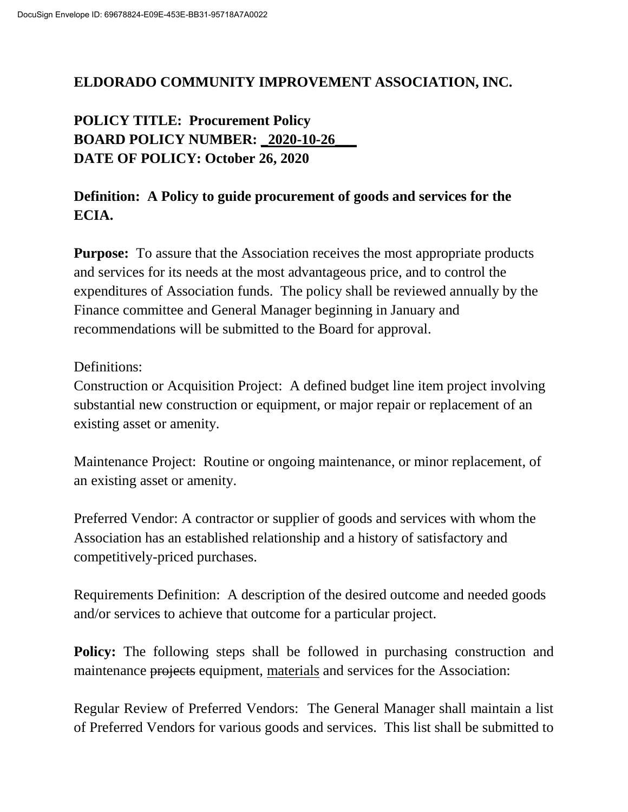### **ELDORADO COMMUNITY IMPROVEMENT ASSOCIATION, INC.**

**POLICY TITLE: Procurement Policy BOARD POLICY NUMBER: \_2020-10-26\_\_\_ DATE OF POLICY: October 26, 2020**

# **Definition: A Policy to guide procurement of goods and services for the ECIA.**

**Purpose:** To assure that the Association receives the most appropriate products and services for its needs at the most advantageous price, and to control the expenditures of Association funds. The policy shall be reviewed annually by the Finance committee and General Manager beginning in January and recommendations will be submitted to the Board for approval.

### Definitions:

Construction or Acquisition Project: A defined budget line item project involving substantial new construction or equipment, or major repair or replacement of an existing asset or amenity.

Maintenance Project: Routine or ongoing maintenance, or minor replacement, of an existing asset or amenity.

Preferred Vendor: A contractor or supplier of goods and services with whom the Association has an established relationship and a history of satisfactory and competitively-priced purchases.

Requirements Definition: A description of the desired outcome and needed goods and/or services to achieve that outcome for a particular project.

**Policy:** The following steps shall be followed in purchasing construction and maintenance projects equipment, materials and services for the Association:

Regular Review of Preferred Vendors: The General Manager shall maintain a list of Preferred Vendors for various goods and services. This list shall be submitted to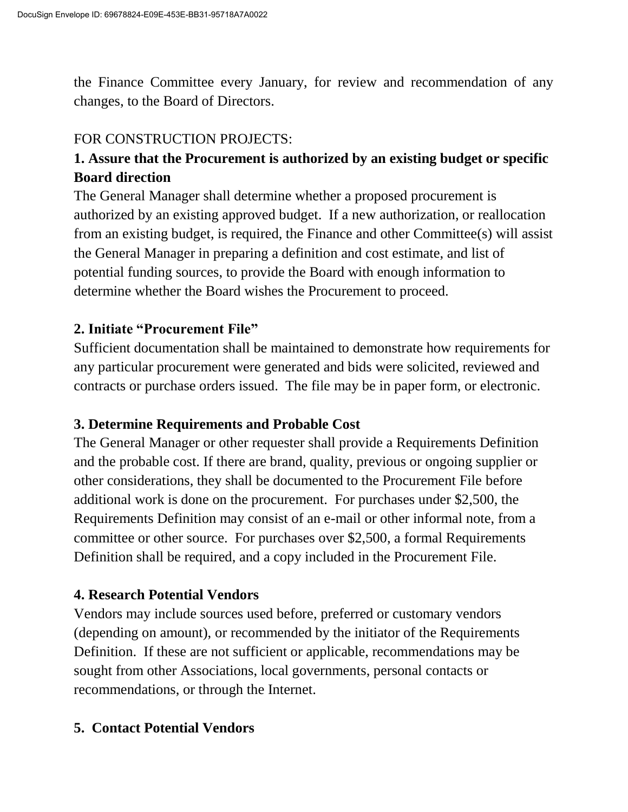the Finance Committee every January, for review and recommendation of any changes, to the Board of Directors.

## FOR CONSTRUCTION PROJECTS:

# **1. Assure that the Procurement is authorized by an existing budget or specific Board direction**

The General Manager shall determine whether a proposed procurement is authorized by an existing approved budget. If a new authorization, or reallocation from an existing budget, is required, the Finance and other Committee(s) will assist the General Manager in preparing a definition and cost estimate, and list of potential funding sources, to provide the Board with enough information to determine whether the Board wishes the Procurement to proceed.

# **2. Initiate "Procurement File"**

Sufficient documentation shall be maintained to demonstrate how requirements for any particular procurement were generated and bids were solicited, reviewed and contracts or purchase orders issued. The file may be in paper form, or electronic.

# **3. Determine Requirements and Probable Cost**

The General Manager or other requester shall provide a Requirements Definition and the probable cost. If there are brand, quality, previous or ongoing supplier or other considerations, they shall be documented to the Procurement File before additional work is done on the procurement. For purchases under \$2,500, the Requirements Definition may consist of an e-mail or other informal note, from a committee or other source. For purchases over \$2,500, a formal Requirements Definition shall be required, and a copy included in the Procurement File.

## **4. Research Potential Vendors**

Vendors may include sources used before, preferred or customary vendors (depending on amount), or recommended by the initiator of the Requirements Definition. If these are not sufficient or applicable, recommendations may be sought from other Associations, local governments, personal contacts or recommendations, or through the Internet.

# **5. Contact Potential Vendors**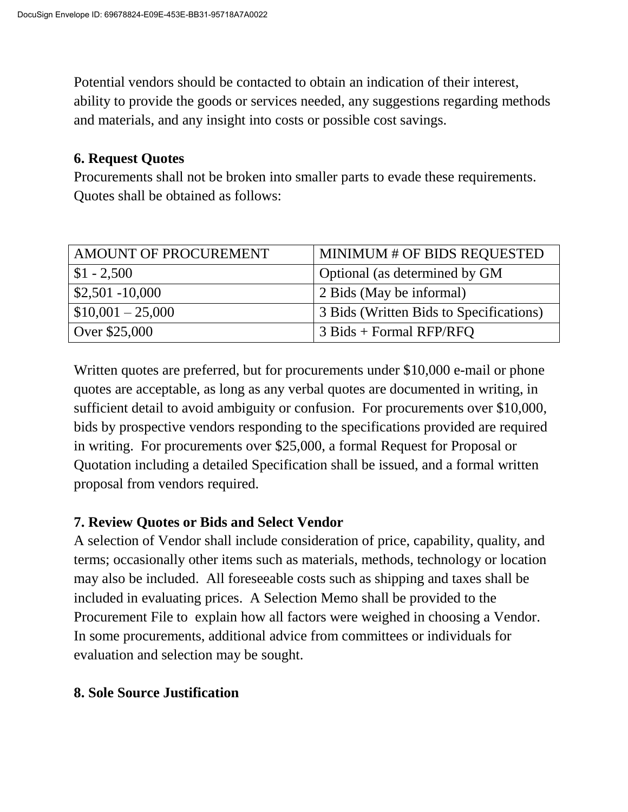Potential vendors should be contacted to obtain an indication of their interest, ability to provide the goods or services needed, any suggestions regarding methods and materials, and any insight into costs or possible cost savings.

#### **6. Request Quotes**

Procurements shall not be broken into smaller parts to evade these requirements. Quotes shall be obtained as follows:

| AMOUNT OF PROCUREMENT | MINIMUM # OF BIDS REQUESTED                          |
|-----------------------|------------------------------------------------------|
| $$1 - 2,500$          | Optional (as determined by GM                        |
| $$2,501 - 10,000$     | 2 Bids (May be informal)                             |
| $$10,001 - 25,000$    | <sup>1</sup> 3 Bids (Written Bids to Specifications) |
| Over \$25,000         | $\beta$ Bids + Formal RFP/RFQ                        |

Written quotes are preferred, but for procurements under \$10,000 e-mail or phone quotes are acceptable, as long as any verbal quotes are documented in writing, in sufficient detail to avoid ambiguity or confusion. For procurements over \$10,000, bids by prospective vendors responding to the specifications provided are required in writing. For procurements over \$25,000, a formal Request for Proposal or Quotation including a detailed Specification shall be issued, and a formal written proposal from vendors required.

### **7. Review Quotes or Bids and Select Vendor**

A selection of Vendor shall include consideration of price, capability, quality, and terms; occasionally other items such as materials, methods, technology or location may also be included. All foreseeable costs such as shipping and taxes shall be included in evaluating prices. A Selection Memo shall be provided to the Procurement File to explain how all factors were weighed in choosing a Vendor. In some procurements, additional advice from committees or individuals for evaluation and selection may be sought.

## **8. Sole Source Justification**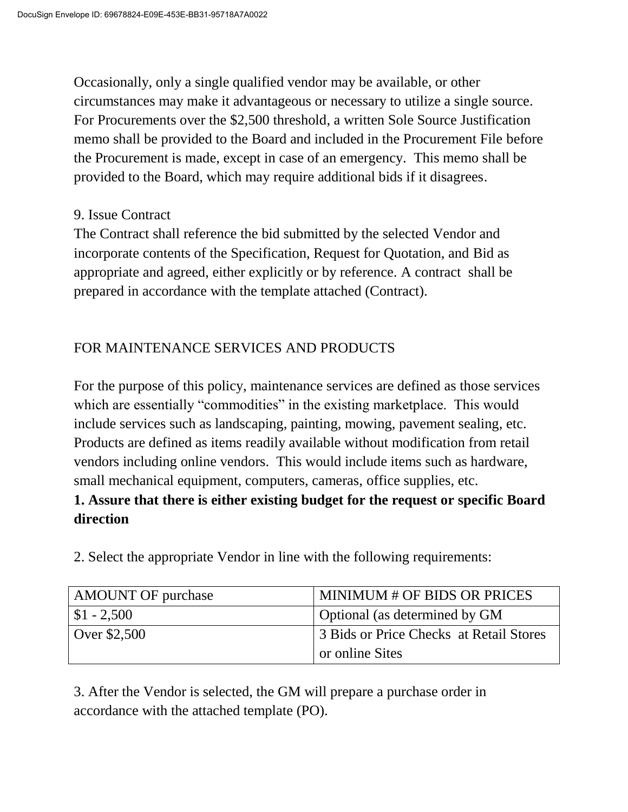Occasionally, only a single qualified vendor may be available, or other circumstances may make it advantageous or necessary to utilize a single source. For Procurements over the \$2,500 threshold, a written Sole Source Justification memo shall be provided to the Board and included in the Procurement File before the Procurement is made, except in case of an emergency. This memo shall be provided to the Board, which may require additional bids if it disagrees.

#### 9. Issue Contract

The Contract shall reference the bid submitted by the selected Vendor and incorporate contents of the Specification, Request for Quotation, and Bid as appropriate and agreed, either explicitly or by reference. A contract shall be prepared in accordance with the template attached (Contract).

## FOR MAINTENANCE SERVICES AND PRODUCTS

For the purpose of this policy, maintenance services are defined as those services which are essentially "commodities" in the existing marketplace. This would include services such as landscaping, painting, mowing, pavement sealing, etc. Products are defined as items readily available without modification from retail vendors including online vendors. This would include items such as hardware, small mechanical equipment, computers, cameras, office supplies, etc.

## **1. Assure that there is either existing budget for the request or specific Board direction**

2. Select the appropriate Vendor in line with the following requirements:

| <b>AMOUNT OF purchase</b> | <b>MINIMUM # OF BIDS OR PRICES</b>      |
|---------------------------|-----------------------------------------|
| $\vert$ \$1 - 2,500       | Optional (as determined by GM           |
| Over \$2,500              | 3 Bids or Price Checks at Retail Stores |
|                           | or online Sites                         |

3. After the Vendor is selected, the GM will prepare a purchase order in accordance with the attached template (PO).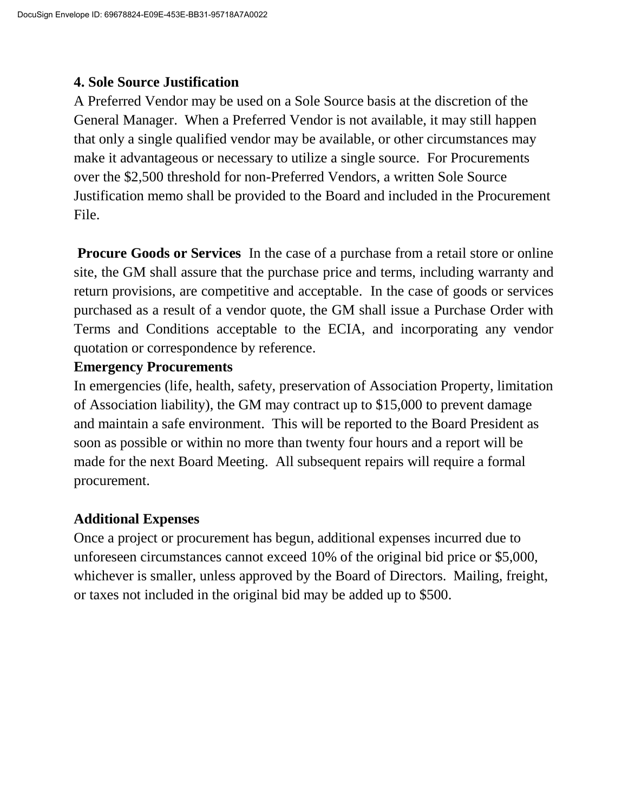### **4. Sole Source Justification**

A Preferred Vendor may be used on a Sole Source basis at the discretion of the General Manager. When a Preferred Vendor is not available, it may still happen that only a single qualified vendor may be available, or other circumstances may make it advantageous or necessary to utilize a single source. For Procurements over the \$2,500 threshold for non-Preferred Vendors, a written Sole Source Justification memo shall be provided to the Board and included in the Procurement File.

**Procure Goods or Services** In the case of a purchase from a retail store or online site, the GM shall assure that the purchase price and terms, including warranty and return provisions, are competitive and acceptable. In the case of goods or services purchased as a result of a vendor quote, the GM shall issue a Purchase Order with Terms and Conditions acceptable to the ECIA, and incorporating any vendor quotation or correspondence by reference.

### **Emergency Procurements**

In emergencies (life, health, safety, preservation of Association Property, limitation of Association liability), the GM may contract up to \$15,000 to prevent damage and maintain a safe environment. This will be reported to the Board President as soon as possible or within no more than twenty four hours and a report will be made for the next Board Meeting. All subsequent repairs will require a formal procurement.

## **Additional Expenses**

Once a project or procurement has begun, additional expenses incurred due to unforeseen circumstances cannot exceed 10% of the original bid price or \$5,000, whichever is smaller, unless approved by the Board of Directors. Mailing, freight, or taxes not included in the original bid may be added up to \$500.